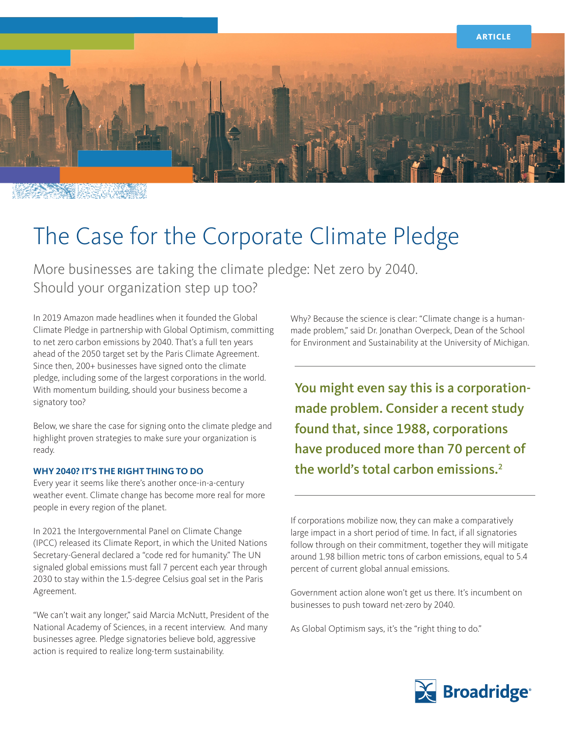

THE REAL PROPERTY

# The Case for the Corporate Climate Pledge

More businesses are taking the climate pledge: Net zero by 2040. Should your organization step up too?

In 2019 Amazon made headlines when it founded the Global Climate Pledge in partnership with Global Optimism, committing to net zero carbon emissions by 2040. That's a full ten years ahead of the 2050 target set by the Paris Climate Agreement. Since then, 200+ businesses have signed onto the climate pledge, including some of the largest corporations in the world. With momentum building, should your business become a signatory too?

Below, we share the case for signing onto the climate pledge and highlight proven strategies to make sure your organization is ready.

### **WHY 2040? IT'S THE RIGHT THING TO DO**

Every year it seems like there's another once-in-a-century weather event. Climate change has become more real for more people in every region of the planet.

In 2021 the Intergovernmental Panel on Climate Change (IPCC) released its Climate Report, in which the United Nations Secretary-General declared a "code red for humanity." The UN signaled global emissions must fall 7 percent each year through 2030 to stay within the 1.5-degree Celsius goal set in the Paris Agreement.

"We can't wait any longer," said Marcia McNutt, President of the National Academy of Sciences, in a recent interview. And many businesses agree. Pledge signatories believe bold, aggressive action is required to realize long-term sustainability.

Why? Because the science is clear: "Climate change is a humanmade problem," said Dr. Jonathan Overpeck, Dean of the School for Environment and Sustainability at the University of Michigan.

You might even say this is a corporationmade problem. Consider a recent study found that, since 1988, corporations have produced more than 70 percent of the world's total carbon emissions.2

If corporations mobilize now, they can make a comparatively large impact in a short period of time. In fact, if all signatories follow through on their commitment, together they will mitigate around 1.98 billion metric tons of carbon emissions, equal to 5.4 percent of current global annual emissions.

Government action alone won't get us there. It's incumbent on businesses to push toward net-zero by 2040.

As Global Optimism says, it's the "right thing to do."

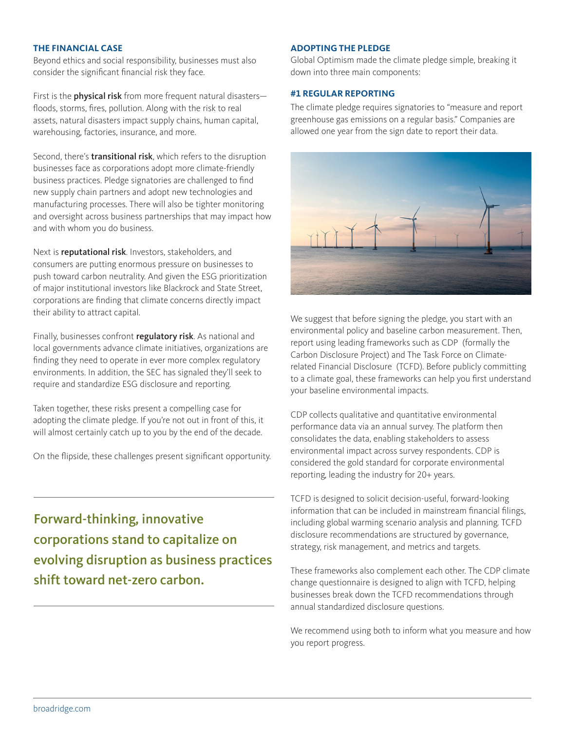### **THE FINANCIAL CASE**

Beyond ethics and social responsibility, businesses must also consider the significant financial risk they face.

First is the **physical risk** from more frequent natural disastersfloods, storms, fires, pollution. Along with the risk to real assets, natural disasters impact supply chains, human capital, warehousing, factories, insurance, and more.

Second, there's **transitional risk**, which refers to the disruption businesses face as corporations adopt more climate-friendly business practices. Pledge signatories are challenged to find new supply chain partners and adopt new technologies and manufacturing processes. There will also be tighter monitoring and oversight across business partnerships that may impact how and with whom you do business.

Next is **reputational risk**. Investors, stakeholders, and consumers are putting enormous pressure on businesses to push toward carbon neutrality. And given the ESG prioritization of major institutional investors like Blackrock and State Street, corporations are finding that climate concerns directly impact their ability to attract capital.

Finally, businesses confront regulatory risk. As national and local governments advance climate initiatives, organizations are finding they need to operate in ever more complex regulatory environments. In addition, the SEC has signaled they'll seek to require and standardize ESG disclosure and reporting.

Taken together, these risks present a compelling case for adopting the climate pledge. If you're not out in front of this, it will almost certainly catch up to you by the end of the decade.

On the flipside, these challenges present significant opportunity.

Forward-thinking, innovative corporations stand to capitalize on evolving disruption as business practices shift toward net-zero carbon.

#### **ADOPTING THE PLEDGE**

Global Optimism made the climate pledge simple, breaking it down into three main components:

#### **#1 REGULAR REPORTING**

The climate pledge requires signatories to "measure and report greenhouse gas emissions on a regular basis." Companies are allowed one year from the sign date to report their data.



We suggest that before signing the pledge, you start with an environmental policy and baseline carbon measurement. Then, report using leading frameworks such as CDP (formally the Carbon Disclosure Project) and The Task Force on Climaterelated Financial Disclosure (TCFD). Before publicly committing to a climate goal, these frameworks can help you first understand your baseline environmental impacts.

CDP collects qualitative and quantitative environmental performance data via an annual survey. The platform then consolidates the data, enabling stakeholders to assess environmental impact across survey respondents. CDP is considered the gold standard for corporate environmental reporting, leading the industry for 20+ years.

TCFD is designed to solicit decision-useful, forward-looking information that can be included in mainstream financial filings, including global warming scenario analysis and planning. TCFD disclosure recommendations are structured by governance, strategy, risk management, and metrics and targets.

These frameworks also complement each other. The CDP climate change questionnaire is designed to align with TCFD, helping businesses break down the TCFD recommendations through annual standardized disclosure questions.

We recommend using both to inform what you measure and how you report progress.